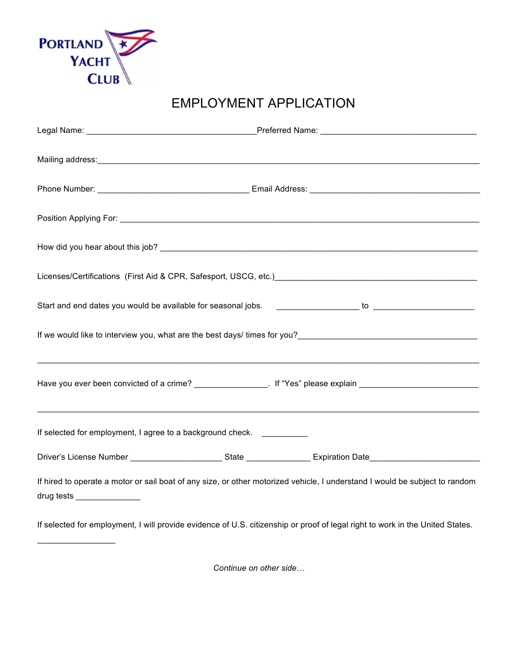

 $\_$ 

## EMPLOYMENT APPLICATION

|                                                            | Licenses/Certifications (First Aid & CPR, Safesport, USCG, etc.) [2010] [2010] [2010] [2010] [2010] [2010] [20                                                                                                                    |  |
|------------------------------------------------------------|-----------------------------------------------------------------------------------------------------------------------------------------------------------------------------------------------------------------------------------|--|
|                                                            |                                                                                                                                                                                                                                   |  |
|                                                            | If we would like to interview you, what are the best days/ times for you?<br>The would like to interview you, what are the best days/ times for you?<br>The world best contract the world like world by the world by the world by |  |
|                                                            | Have you ever been convicted of a crime? ________________. If "Yes" please explain ___________________________                                                                                                                    |  |
| If selected for employment, I agree to a background check. |                                                                                                                                                                                                                                   |  |
|                                                            |                                                                                                                                                                                                                                   |  |
| drug tests _________________                               | If hired to operate a motor or sail boat of any size, or other motorized vehicle, I understand I would be subject to random                                                                                                       |  |
|                                                            | If selected for employment, I will provide evidence of U.S. citizenship or proof of legal right to work in the United States.                                                                                                     |  |

*Continue on other side…*